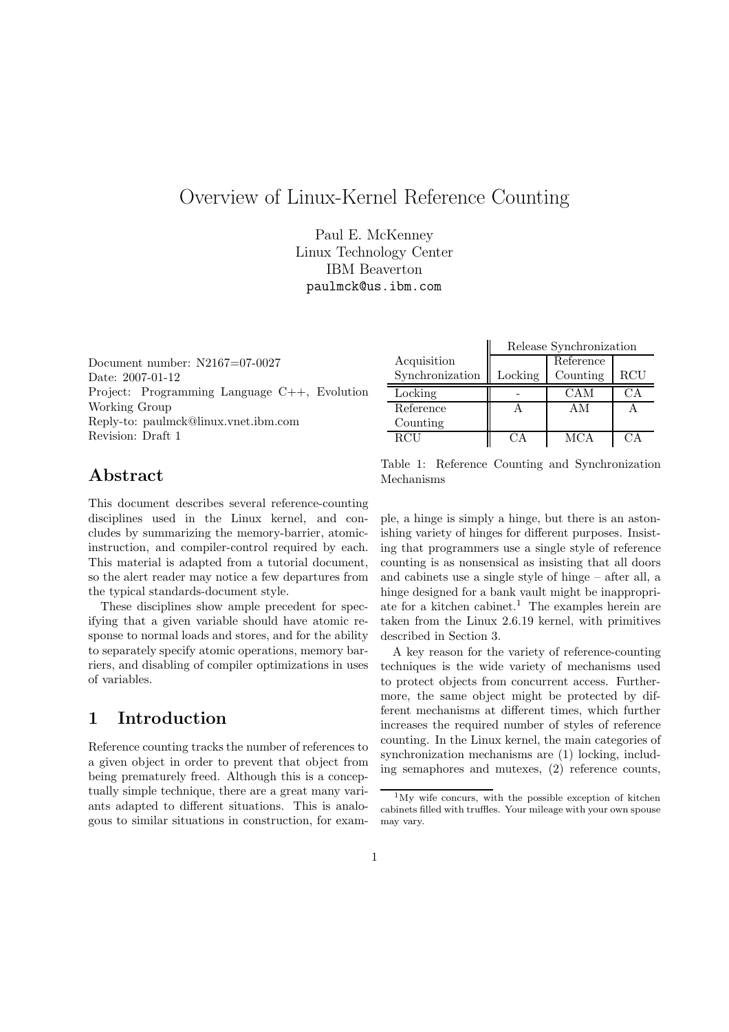# Overview of Linux-Kernel Reference Counting

Paul E. McKenney Linux Technology Center IBM Beaverton paulmck@us.ibm.com

Document number: N2167=07-0027 Date: 2007-01-12 Project: Programming Language C++, Evolution Working Group Reply-to: paulmck@linux.vnet.ibm.com Revision: Draft 1

### Abstract

This document describes several reference-counting disciplines used in the Linux kernel, and concludes by summarizing the memory-barrier, atomicinstruction, and compiler-control required by each. This material is adapted from a tutorial document, so the alert reader may notice a few departures from the typical standards-document style.

These disciplines show ample precedent for specifying that a given variable should have atomic response to normal loads and stores, and for the ability to separately specify atomic operations, memory barriers, and disabling of compiler optimizations in uses of variables.

## 1 Introduction

Reference counting tracks the number of references to a given object in order to prevent that object from being prematurely freed. Although this is a conceptually simple technique, there are a great many variants adapted to different situations. This is analogous to similar situations in construction, for exam-

|                 | Release Synchronization |          |            |  |  |  |
|-----------------|-------------------------|----------|------------|--|--|--|
| Acquisition     |                         |          |            |  |  |  |
| Synchronization | Locking                 | Counting | <b>RCU</b> |  |  |  |
| Locking         |                         | 7A M     |            |  |  |  |
| Reference       |                         | A M      |            |  |  |  |
| Counting        |                         |          |            |  |  |  |
| RCH             |                         | MCA      |            |  |  |  |

Table 1: Reference Counting and Synchronization Mechanisms

ple, a hinge is simply a hinge, but there is an astonishing variety of hinges for different purposes. Insisting that programmers use a single style of reference counting is as nonsensical as insisting that all doors and cabinets use a single style of hinge – after all, a hinge designed for a bank vault might be inappropriate for a kitchen cabinet.<sup>1</sup> The examples herein are taken from the Linux 2.6.19 kernel, with primitives described in Section 3.

A key reason for the variety of reference-counting techniques is the wide variety of mechanisms used to protect objects from concurrent access. Furthermore, the same object might be protected by different mechanisms at different times, which further increases the required number of styles of reference counting. In the Linux kernel, the main categories of synchronization mechanisms are (1) locking, including semaphores and mutexes, (2) reference counts,

 $1$ My wife concurs, with the possible exception of kitchen cabinets filled with truffles. Your mileage with your own spouse may vary.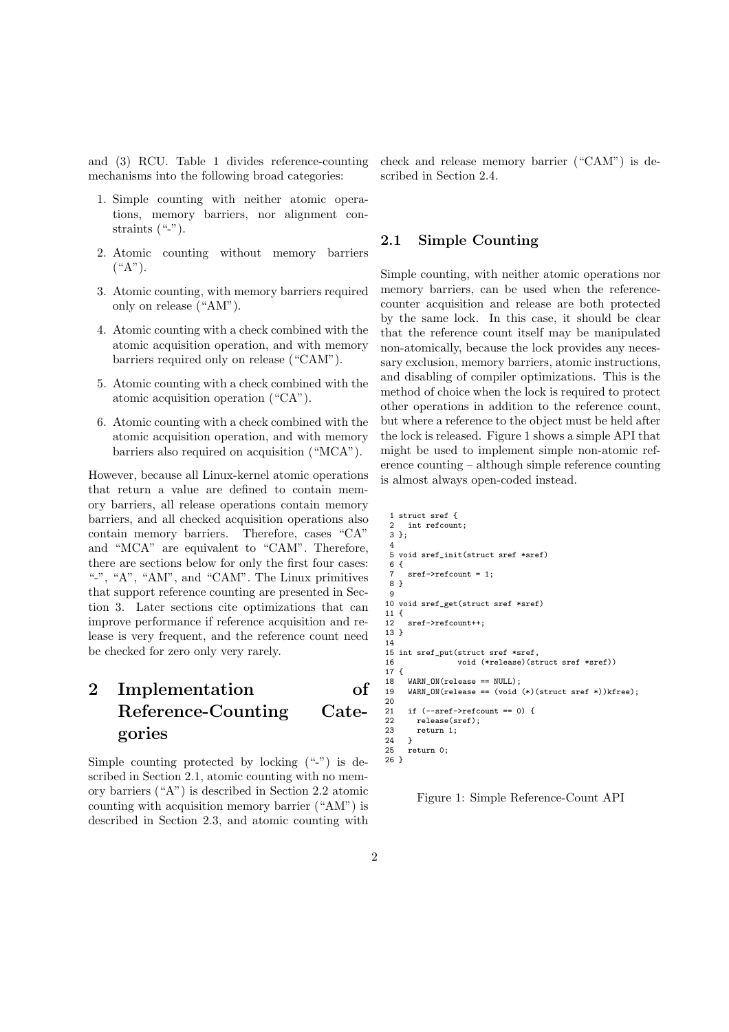and (3) RCU. Table 1 divides reference-counting mechanisms into the following broad categories:

- 1. Simple counting with neither atomic operations, memory barriers, nor alignment constraints  $($  "-" $)$ .
- 2. Atomic counting without memory barriers  $(*A")$ .
- 3. Atomic counting, with memory barriers required only on release ("AM").
- 4. Atomic counting with a check combined with the atomic acquisition operation, and with memory barriers required only on release ("CAM").
- 5. Atomic counting with a check combined with the atomic acquisition operation ("CA").
- 6. Atomic counting with a check combined with the atomic acquisition operation, and with memory barriers also required on acquisition ("MCA").

However, because all Linux-kernel atomic operations that return a value are defined to contain memory barriers, all release operations contain memory barriers, and all checked acquisition operations also contain memory barriers. Therefore, cases "CA" and "MCA" are equivalent to "CAM". Therefore, there are sections below for only the first four cases: "-", "A", "AM", and "CAM". The Linux primitives that support reference counting are presented in Section 3. Later sections cite optimizations that can improve performance if reference acquisition and release is very frequent, and the reference count need be checked for zero only very rarely.

# 2 Implementation of Reference-Counting Categories

Simple counting protected by locking  $($ "-") is described in Section 2.1, atomic counting with no memory barriers ("A") is described in Section 2.2 atomic counting with acquisition memory barrier ("AM") is described in Section 2.3, and atomic counting with check and release memory barrier ("CAM") is described in Section 2.4.

#### 2.1 Simple Counting

Simple counting, with neither atomic operations nor memory barriers, can be used when the referencecounter acquisition and release are both protected by the same lock. In this case, it should be clear that the reference count itself may be manipulated non-atomically, because the lock provides any necessary exclusion, memory barriers, atomic instructions, and disabling of compiler optimizations. This is the method of choice when the lock is required to protect other operations in addition to the reference count, but where a reference to the object must be held after the lock is released. Figure 1 shows a simple API that might be used to implement simple non-atomic reference counting – although simple reference counting is almost always open-coded instead.

```
1 struct sref {
  2 int refcount;
3 };
 4
 5 void sref_init(struct sref *sref)
 6 {
      sref->refcount = 1;
 8 }
 \overline{9}10 void sref_get(struct sref *sref)
11 {<br>12sref->refcount++;
13 }
14
15 int sref_put(struct sref *sref,<br>16 void (*release)(st
                      void (*release)(struct sref *sref))
\begin{array}{c} 17 \\ 18 \end{array}18 WARN_ON(release == NULL);
19 WARN_ON(release == (void (*)(struct sref *))kfree);
20<br>21<br>22if (-\text{sref}-\text{refcount} == 0) {
22 release(sref);<br>23 return 1:
         return 1:
24 }<br>25 r
       return 0;
26 }
```
Figure 1: Simple Reference-Count API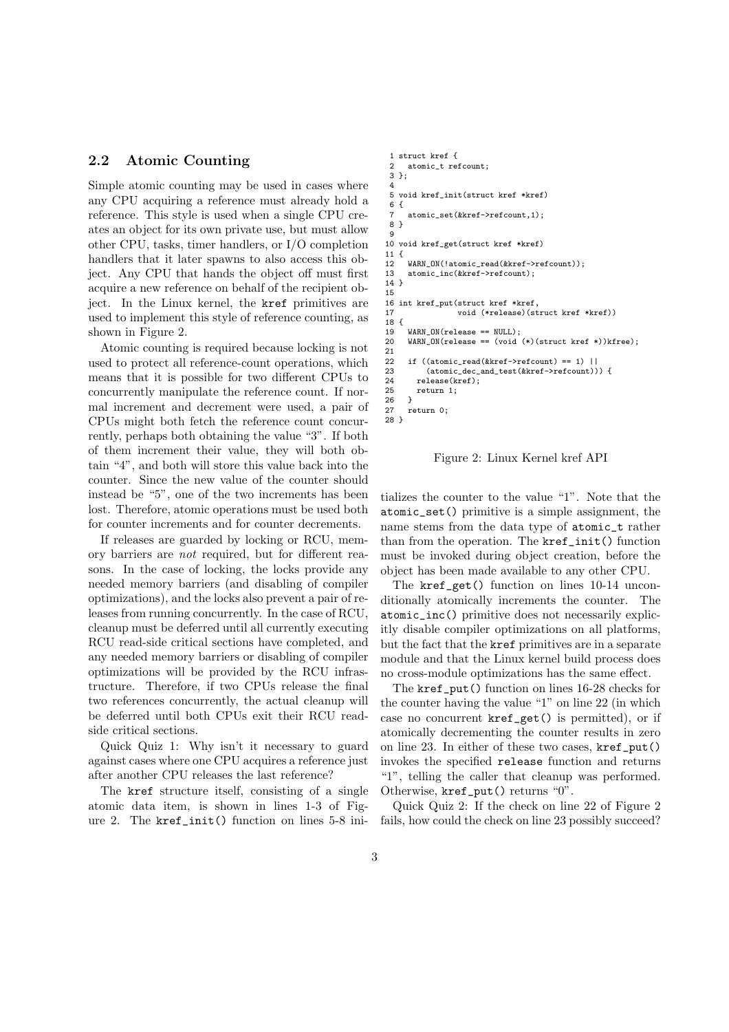#### 2.2 Atomic Counting

Simple atomic counting may be used in cases where any CPU acquiring a reference must already hold a reference. This style is used when a single CPU creates an object for its own private use, but must allow other CPU, tasks, timer handlers, or I/O completion handlers that it later spawns to also access this object. Any CPU that hands the object off must first acquire a new reference on behalf of the recipient object. In the Linux kernel, the kref primitives are used to implement this style of reference counting, as shown in Figure 2.

Atomic counting is required because locking is not used to protect all reference-count operations, which means that it is possible for two different CPUs to concurrently manipulate the reference count. If normal increment and decrement were used, a pair of CPUs might both fetch the reference count concurrently, perhaps both obtaining the value "3". If both of them increment their value, they will both obtain "4", and both will store this value back into the counter. Since the new value of the counter should instead be "5", one of the two increments has been lost. Therefore, atomic operations must be used both for counter increments and for counter decrements.

If releases are guarded by locking or RCU, memory barriers are not required, but for different reasons. In the case of locking, the locks provide any needed memory barriers (and disabling of compiler optimizations), and the locks also prevent a pair of releases from running concurrently. In the case of RCU, cleanup must be deferred until all currently executing RCU read-side critical sections have completed, and any needed memory barriers or disabling of compiler optimizations will be provided by the RCU infrastructure. Therefore, if two CPUs release the final two references concurrently, the actual cleanup will be deferred until both CPUs exit their RCU readside critical sections.

Quick Quiz 1: Why isn't it necessary to guard against cases where one CPU acquires a reference just after another CPU releases the last reference?

The kref structure itself, consisting of a single atomic data item, is shown in lines 1-3 of Figure 2. The kref\_init() function on lines 5-8 ini-

```
1 struct kref {
 2 atomic_t refcount;
3 };
 4
 5 void kref_init(struct kref *kref)
 6 {
 7 atomic_set(&kref->refcount,1);
 .<br>ጸ ጌ
 9
10 void kref_get(struct kref *kref)
11 \t{1}12 WARN_ON(!atomic_read(&kref->refcount));<br>13 atomic_inc(&kref->refcount);
      atomic_inc(&kref->refcount);
14 }
15
16 int kref_put(struct kref *kref,<br>17 void (*release)(st
                    void (*release)(struct kref *kref))
18 {
19 WARN_ON(release == NULL);
20 WARN_ON(release == (void (*)(struct kref *))kfree);
\frac{21}{22}22 if ((atomic_read(&kref->refcount) == 1) ||<br>23 (atomic_dec_and_test(&kref->refcount))
23 (atomic_dec_and_test(&kref->refcount))) {<br>24 release(kref);
         relcase(kref);25 return 1;<br>26 }
26 }
      return 0:
28 }
```
Figure 2: Linux Kernel kref API

tializes the counter to the value "1". Note that the atomic\_set() primitive is a simple assignment, the name stems from the data type of atomic\_t rather than from the operation. The kref\_init() function must be invoked during object creation, before the object has been made available to any other CPU.

The kref get() function on lines 10-14 unconditionally atomically increments the counter. The atomic\_inc() primitive does not necessarily explicitly disable compiler optimizations on all platforms, but the fact that the kref primitives are in a separate module and that the Linux kernel build process does no cross-module optimizations has the same effect.

The kref\_put() function on lines 16-28 checks for the counter having the value "1" on line 22 (in which case no concurrent kref\_get() is permitted), or if atomically decrementing the counter results in zero on line 23. In either of these two cases, kref\_put() invokes the specified release function and returns "1", telling the caller that cleanup was performed. Otherwise, kref\_put() returns "0".

Quick Quiz 2: If the check on line 22 of Figure 2 fails, how could the check on line 23 possibly succeed?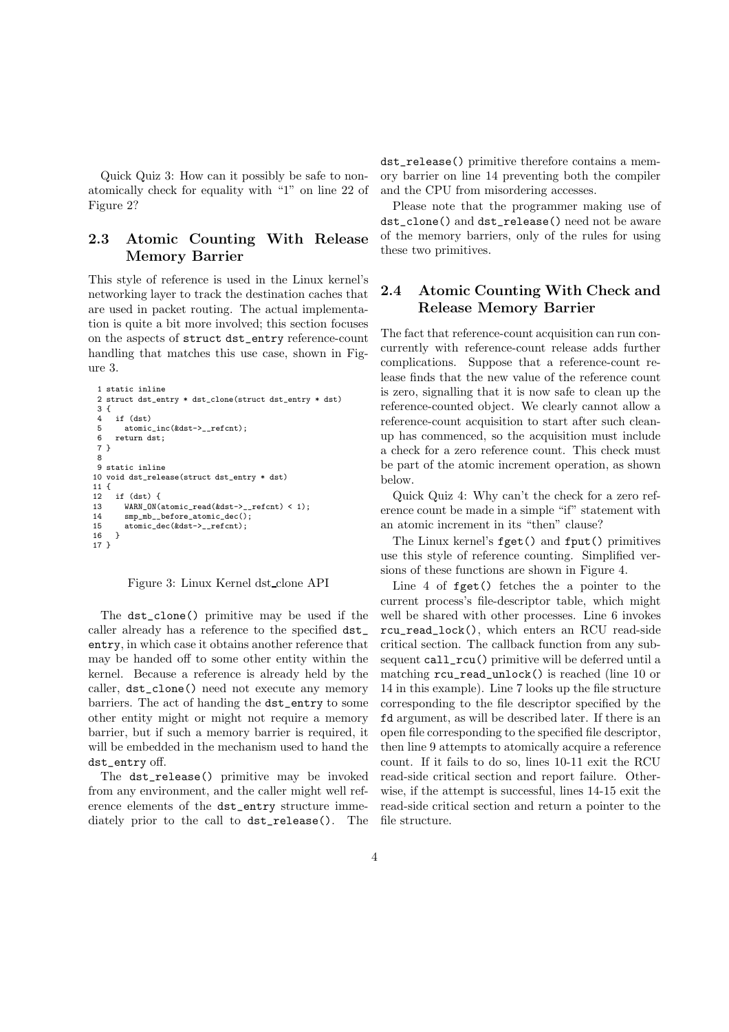Quick Quiz 3: How can it possibly be safe to nonatomically check for equality with "1" on line 22 of Figure 2?

#### 2.3 Atomic Counting With Release Memory Barrier

This style of reference is used in the Linux kernel's networking layer to track the destination caches that are used in packet routing. The actual implementation is quite a bit more involved; this section focuses on the aspects of struct dst\_entry reference-count handling that matches this use case, shown in Figure 3.

```
1 static inline
 2 struct dst_entry * dst_clone(struct dst_entry * dst)
 3 {
 4 if (dst)5 atomic_inc(&dst->__refcnt);
 6 return dst;
 7 }
 8
 9 static inline
10 void dst_release(struct dst_entry * dst)
11 {
12 if (dst) {<br>13 WARN ON(
13 WARN_ON(atomic_read(&dst->__refcnt) < 1);<br>14 smp mb before atomic dec():
14 smp_mb__before_atomic_dec();<br>15 atomic_dec(&dst->__refcnt);
     atomic_dec(&dst->__refcnt);
16 }
17 }
```
Figure 3: Linux Kernel dst clone API

The dst\_clone() primitive may be used if the caller already has a reference to the specified dst\_ entry, in which case it obtains another reference that may be handed off to some other entity within the kernel. Because a reference is already held by the caller, dst\_clone() need not execute any memory barriers. The act of handing the dst\_entry to some other entity might or might not require a memory barrier, but if such a memory barrier is required, it will be embedded in the mechanism used to hand the dst\_entry off.

The dst\_release() primitive may be invoked from any environment, and the caller might well reference elements of the dst\_entry structure immediately prior to the call to dst\_release(). The dst\_release() primitive therefore contains a memory barrier on line 14 preventing both the compiler and the CPU from misordering accesses.

Please note that the programmer making use of dst\_clone() and dst\_release() need not be aware of the memory barriers, only of the rules for using these two primitives.

#### 2.4 Atomic Counting With Check and Release Memory Barrier

The fact that reference-count acquisition can run concurrently with reference-count release adds further complications. Suppose that a reference-count release finds that the new value of the reference count is zero, signalling that it is now safe to clean up the reference-counted object. We clearly cannot allow a reference-count acquisition to start after such cleanup has commenced, so the acquisition must include a check for a zero reference count. This check must be part of the atomic increment operation, as shown below.

Quick Quiz 4: Why can't the check for a zero reference count be made in a simple "if" statement with an atomic increment in its "then" clause?

The Linux kernel's fget() and fput() primitives use this style of reference counting. Simplified versions of these functions are shown in Figure 4.

Line 4 of fget() fetches the a pointer to the current process's file-descriptor table, which might well be shared with other processes. Line 6 invokes rcu\_read\_lock(), which enters an RCU read-side critical section. The callback function from any subsequent call\_rcu() primitive will be deferred until a matching rcu\_read\_unlock() is reached (line 10 or 14 in this example). Line 7 looks up the file structure corresponding to the file descriptor specified by the fd argument, as will be described later. If there is an open file corresponding to the specified file descriptor, then line 9 attempts to atomically acquire a reference count. If it fails to do so, lines 10-11 exit the RCU read-side critical section and report failure. Otherwise, if the attempt is successful, lines 14-15 exit the read-side critical section and return a pointer to the file structure.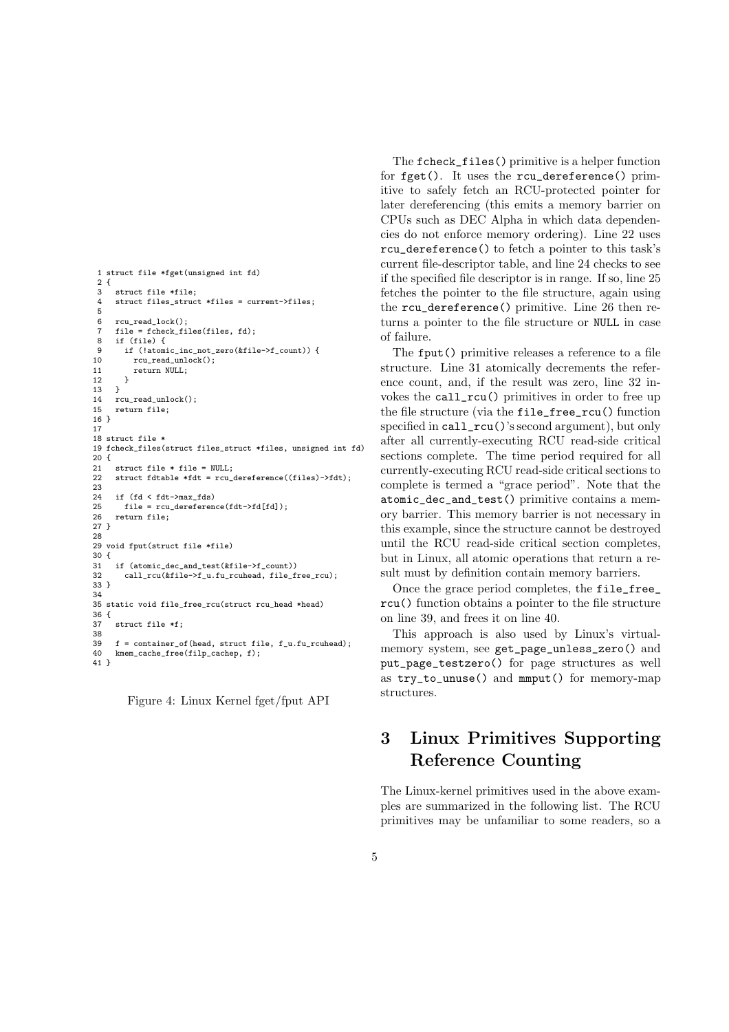```
1 struct file *fget(unsigned int fd)
 2 \t{3}3 struct file *file;<br>4 struct files struc
       struct files struct *files = current->files;
 5
 6 rcu_read_lock();<br>7 file = fcheck fi
 7 file = fcheck_files(files, fd);<br>8 if (file) {
 8 if (file) {<br>9 if (!atomi
9 if (!atomic_inc_not_zero(&file->f_count)) {<br>10 rcu read unlock():
10 rcu_read_unlock();<br>11 return NULL:
         return NULL;
\begin{matrix} 12 \\ 13 \end{matrix}13 }
14 rcu_read_unlock();<br>15 return file:
       return file:
16 }
17
18 struct file *
19 fcheck_files(struct files_struct *files, unsigned int fd)
20 \t{21}21 struct file * file = NULL;<br>22 struct fdtable *fdt = rcu_
       struct fdtable *fdt = rcu_dereference((files)->fdt);
23
24 if (fd < fdt \rightarrow max_f ds)<br>25 file = rcu dereference
25 file = rcu_dereference(fdt->fd[fd]);<br>26 return file:
      return file;
27 }
28
29 void fput(struct file *file)
30 \t{31}31 if (atomic_dec_and_test(&file->f_count))<br>32 call rcu(&file->f u.fu rcuhead, file f
          call_rcu(kfile->f_u.fu_rcuhead, file_free_rcu);
33 }
34
35 static void file_free_rcu(struct rcu_head *head)
36 {
37 struct file *f;
38
39 f = \text{container_of(head, struct file, f_u.fu_rcuhead)};<br>40 kmem cache free(filp cachep. f):
       kmem_cache_free(filp_cachep, f);
41 }
```
Figure 4: Linux Kernel fget/fput API

The fcheck\_files() primitive is a helper function for fget(). It uses the rcu\_dereference() primitive to safely fetch an RCU-protected pointer for later dereferencing (this emits a memory barrier on CPUs such as DEC Alpha in which data dependencies do not enforce memory ordering). Line 22 uses rcu\_dereference() to fetch a pointer to this task's current file-descriptor table, and line 24 checks to see if the specified file descriptor is in range. If so, line 25 fetches the pointer to the file structure, again using the rcu\_dereference() primitive. Line 26 then returns a pointer to the file structure or NULL in case of failure.

The fput() primitive releases a reference to a file structure. Line 31 atomically decrements the reference count, and, if the result was zero, line 32 invokes the call\_rcu() primitives in order to free up the file structure (via the file\_free\_rcu() function specified in call\_rcu()'s second argument), but only after all currently-executing RCU read-side critical sections complete. The time period required for all currently-executing RCU read-side critical sections to complete is termed a "grace period". Note that the atomic\_dec\_and\_test() primitive contains a memory barrier. This memory barrier is not necessary in this example, since the structure cannot be destroyed until the RCU read-side critical section completes, but in Linux, all atomic operations that return a result must by definition contain memory barriers.

Once the grace period completes, the file\_free\_ rcu() function obtains a pointer to the file structure on line 39, and frees it on line 40.

This approach is also used by Linux's virtualmemory system, see get\_page\_unless\_zero() and put\_page\_testzero() for page structures as well as try\_to\_unuse() and mmput() for memory-map structures.

## 3 Linux Primitives Supporting Reference Counting

The Linux-kernel primitives used in the above examples are summarized in the following list. The RCU primitives may be unfamiliar to some readers, so a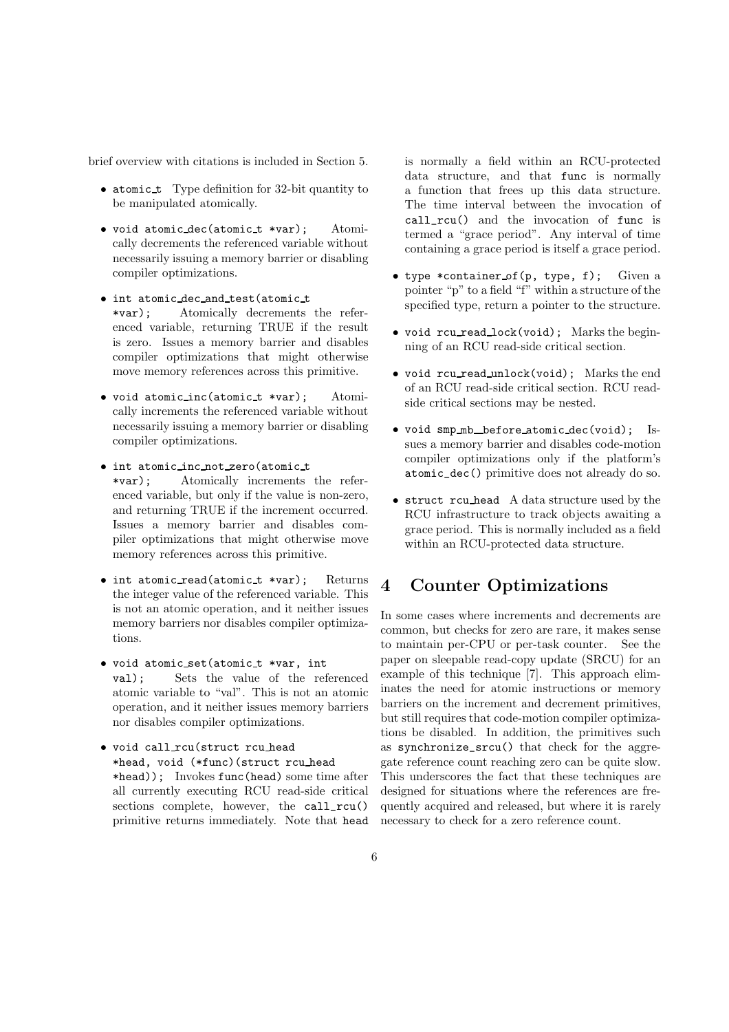brief overview with citations is included in Section 5.

- atomic\_t Type definition for 32-bit quantity to be manipulated atomically.
- void atomic dec(atomic t \*var); Atomically decrements the referenced variable without necessarily issuing a memory barrier or disabling compiler optimizations.
- int atomic dec and test(atomic t \*var); Atomically decrements the referenced variable, returning TRUE if the result is zero. Issues a memory barrier and disables compiler optimizations that might otherwise move memory references across this primitive.
- void atomic inc (atomic\_t \*var); Atomically increments the referenced variable without necessarily issuing a memory barrier or disabling compiler optimizations.
- int atomic inc not zero(atomic t \*var); Atomically increments the referenced variable, but only if the value is non-zero, and returning TRUE if the increment occurred. Issues a memory barrier and disables compiler optimizations that might otherwise move memory references across this primitive.
- int atomic read(atomic t \*var); Returns the integer value of the referenced variable. This is not an atomic operation, and it neither issues memory barriers nor disables compiler optimizations.
- void atomic set(atomic t \*var, int val); Sets the value of the referenced atomic variable to "val". This is not an atomic operation, and it neither issues memory barriers nor disables compiler optimizations.
- void call rcu(struct rcu head \*head, void (\*func)(struct rcu head \*head)); Invokes func(head) some time after all currently executing RCU read-side critical sections complete, however, the call\_rcu() primitive returns immediately. Note that head

is normally a field within an RCU-protected data structure, and that func is normally a function that frees up this data structure. The time interval between the invocation of call\_rcu() and the invocation of func is termed a "grace period". Any interval of time containing a grace period is itself a grace period.

- type \*container of(p, type, f); Given a pointer "p" to a field "f" within a structure of the specified type, return a pointer to the structure.
- void rcu read lock(void); Marks the beginning of an RCU read-side critical section.
- void rcu read unlock(void); Marks the end of an RCU read-side critical section. RCU readside critical sections may be nested.
- void smp\_mb\_before\_atomic\_dec(void); Issues a memory barrier and disables code-motion compiler optimizations only if the platform's atomic\_dec() primitive does not already do so.
- struct rcu head A data structure used by the RCU infrastructure to track objects awaiting a grace period. This is normally included as a field within an RCU-protected data structure.

## 4 Counter Optimizations

In some cases where increments and decrements are common, but checks for zero are rare, it makes sense to maintain per-CPU or per-task counter. See the paper on sleepable read-copy update (SRCU) for an example of this technique [7]. This approach eliminates the need for atomic instructions or memory barriers on the increment and decrement primitives, but still requires that code-motion compiler optimizations be disabled. In addition, the primitives such as synchronize\_srcu() that check for the aggregate reference count reaching zero can be quite slow. This underscores the fact that these techniques are designed for situations where the references are frequently acquired and released, but where it is rarely necessary to check for a zero reference count.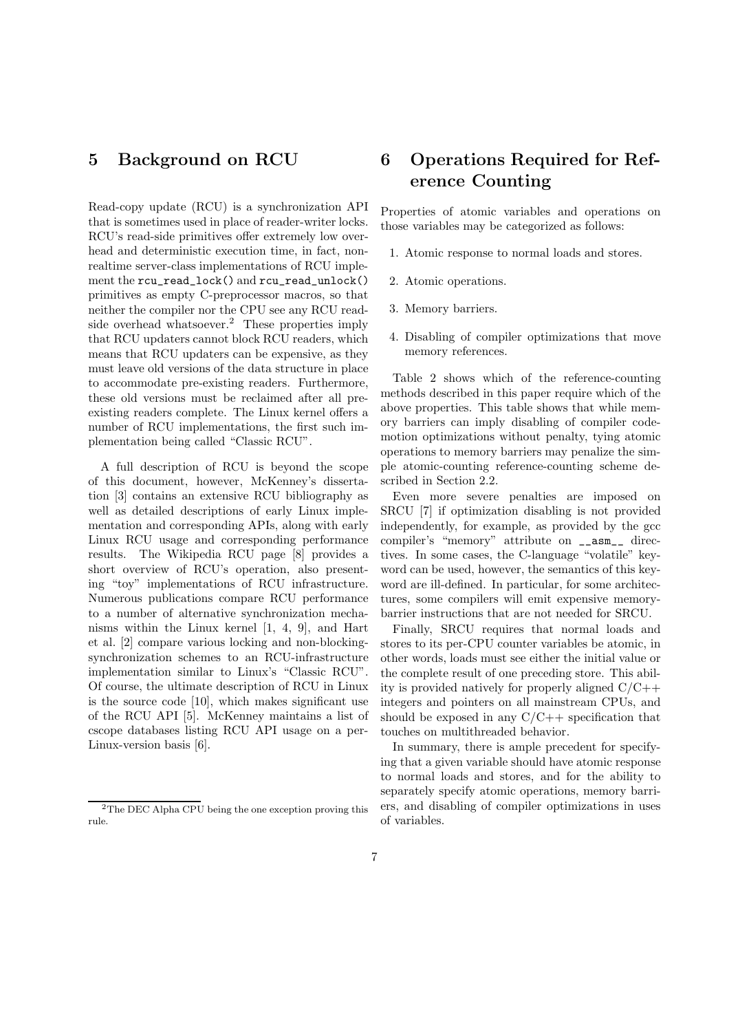## 5 Background on RCU

Read-copy update (RCU) is a synchronization API that is sometimes used in place of reader-writer locks. RCU's read-side primitives offer extremely low overhead and deterministic execution time, in fact, nonrealtime server-class implementations of RCU implement the rcu\_read\_lock() and rcu\_read\_unlock() primitives as empty C-preprocessor macros, so that neither the compiler nor the CPU see any RCU readside overhead whatsoever.<sup>2</sup> These properties imply that RCU updaters cannot block RCU readers, which means that RCU updaters can be expensive, as they must leave old versions of the data structure in place to accommodate pre-existing readers. Furthermore, these old versions must be reclaimed after all preexisting readers complete. The Linux kernel offers a number of RCU implementations, the first such implementation being called "Classic RCU".

A full description of RCU is beyond the scope of this document, however, McKenney's dissertation [3] contains an extensive RCU bibliography as well as detailed descriptions of early Linux implementation and corresponding APIs, along with early Linux RCU usage and corresponding performance results. The Wikipedia RCU page [8] provides a short overview of RCU's operation, also presenting "toy" implementations of RCU infrastructure. Numerous publications compare RCU performance to a number of alternative synchronization mechanisms within the Linux kernel [1, 4, 9], and Hart et al. [2] compare various locking and non-blockingsynchronization schemes to an RCU-infrastructure implementation similar to Linux's "Classic RCU". Of course, the ultimate description of RCU in Linux is the source code [10], which makes significant use of the RCU API [5]. McKenney maintains a list of cscope databases listing RCU API usage on a per-Linux-version basis [6].

# 6 Operations Required for Reference Counting

Properties of atomic variables and operations on those variables may be categorized as follows:

- 1. Atomic response to normal loads and stores.
- 2. Atomic operations.
- 3. Memory barriers.
- 4. Disabling of compiler optimizations that move memory references.

Table 2 shows which of the reference-counting methods described in this paper require which of the above properties. This table shows that while memory barriers can imply disabling of compiler codemotion optimizations without penalty, tying atomic operations to memory barriers may penalize the simple atomic-counting reference-counting scheme described in Section 2.2.

Even more severe penalties are imposed on SRCU [7] if optimization disabling is not provided independently, for example, as provided by the gcc compiler's "memory" attribute on \_\_asm\_\_ directives. In some cases, the C-language "volatile" keyword can be used, however, the semantics of this keyword are ill-defined. In particular, for some architectures, some compilers will emit expensive memorybarrier instructions that are not needed for SRCU.

Finally, SRCU requires that normal loads and stores to its per-CPU counter variables be atomic, in other words, loads must see either the initial value or the complete result of one preceding store. This ability is provided natively for properly aligned  $C/C++$ integers and pointers on all mainstream CPUs, and should be exposed in any  $C/C++$  specification that touches on multithreaded behavior.

In summary, there is ample precedent for specifying that a given variable should have atomic response to normal loads and stores, and for the ability to separately specify atomic operations, memory barriers, and disabling of compiler optimizations in uses of variables.

<sup>2</sup>The DEC Alpha CPU being the one exception proving this rule.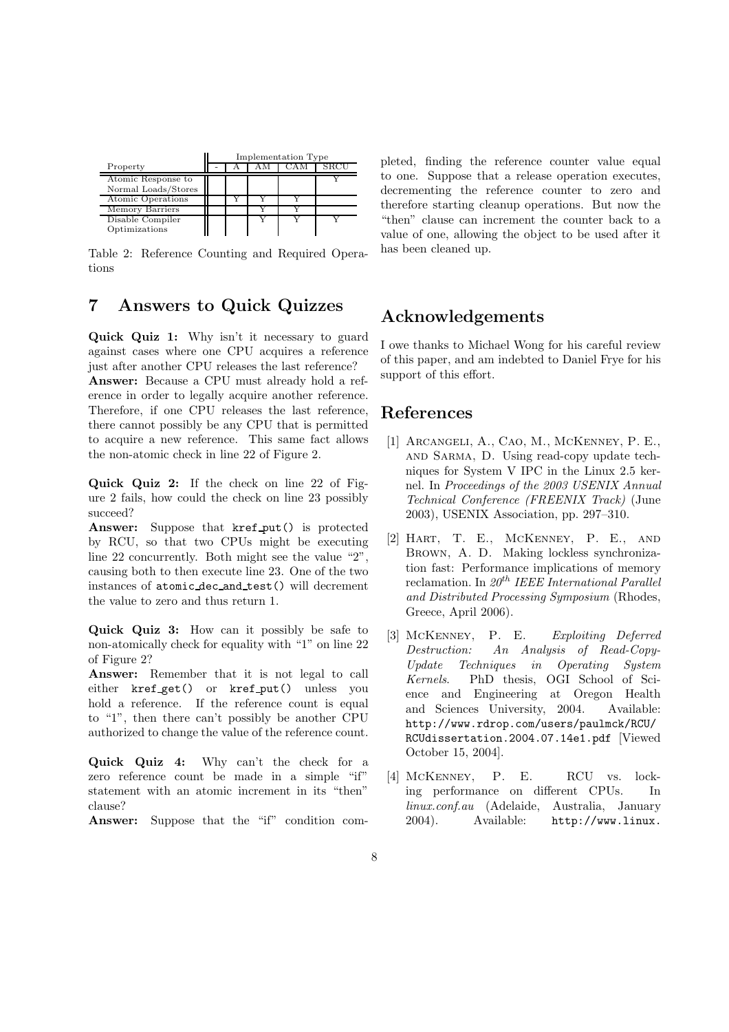|                     | Implementation Type |  |  |  |  |
|---------------------|---------------------|--|--|--|--|
| Property            |                     |  |  |  |  |
| Atomic Response to  |                     |  |  |  |  |
| Normal Loads/Stores |                     |  |  |  |  |
| Atomic Operations   |                     |  |  |  |  |
| Memory Barriers     |                     |  |  |  |  |
| Disable Compiler    |                     |  |  |  |  |
| Optimizations       |                     |  |  |  |  |

Table 2: Reference Counting and Required Operations

### 7 Answers to Quick Quizzes

Quick Quiz 1: Why isn't it necessary to guard against cases where one CPU acquires a reference just after another CPU releases the last reference? Answer: Because a CPU must already hold a reference in order to legally acquire another reference. Therefore, if one CPU releases the last reference, there cannot possibly be any CPU that is permitted to acquire a new reference. This same fact allows the non-atomic check in line 22 of Figure 2.

Quick Quiz 2: If the check on line 22 of Figure 2 fails, how could the check on line 23 possibly succeed?

Answer: Suppose that kref\_put() is protected by RCU, so that two CPUs might be executing line 22 concurrently. Both might see the value "2", causing both to then execute line 23. One of the two instances of atomic dec and test() will decrement the value to zero and thus return 1.

Quick Quiz 3: How can it possibly be safe to non-atomically check for equality with "1" on line 22 of Figure 2?

Answer: Remember that it is not legal to call either kref get() or kref put() unless you hold a reference. If the reference count is equal to "1", then there can't possibly be another CPU authorized to change the value of the reference count.

Quick Quiz 4: Why can't the check for a zero reference count be made in a simple "if" statement with an atomic increment in its "then" clause?

Answer: Suppose that the "if" condition com-

pleted, finding the reference counter value equal to one. Suppose that a release operation executes, decrementing the reference counter to zero and therefore starting cleanup operations. But now the "then" clause can increment the counter back to a value of one, allowing the object to be used after it has been cleaned up.

## Acknowledgements

I owe thanks to Michael Wong for his careful review of this paper, and am indebted to Daniel Frye for his support of this effort.

## References

- [1] Arcangeli, A., Cao, M., McKenney, P. E., and Sarma, D. Using read-copy update techniques for System V IPC in the Linux 2.5 kernel. In Proceedings of the 2003 USENIX Annual Technical Conference (FREENIX Track) (June 2003), USENIX Association, pp. 297–310.
- [2] Hart, T. E., McKenney, P. E., and Brown, A. D. Making lockless synchronization fast: Performance implications of memory reclamation. In  $20^{th}$  IEEE International Parallel and Distributed Processing Symposium (Rhodes, Greece, April 2006).
- [3] McKenney, P. E. Exploiting Deferred Destruction: An Analysis of Read-Copy-Update Techniques in Operating System Kernels. PhD thesis, OGI School of Science and Engineering at Oregon Health and Sciences University, 2004. Available: http://www.rdrop.com/users/paulmck/RCU/ RCUdissertation.2004.07.14e1.pdf [Viewed October 15, 2004].
- [4] McKenney, P. E. RCU vs. locking performance on different CPUs. In linux.conf.au (Adelaide, Australia, January 2004). Available: http://www.linux.